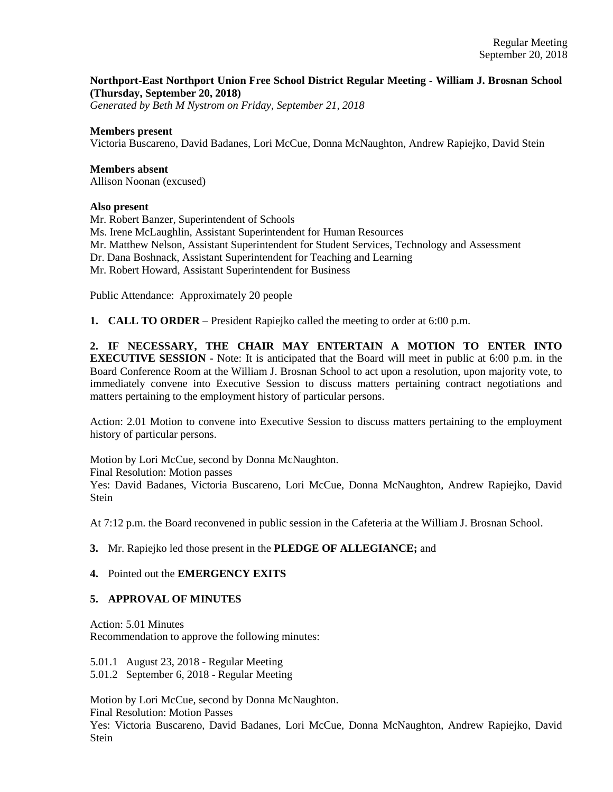### **Northport-East Northport Union Free School District Regular Meeting - William J. Brosnan School (Thursday, September 20, 2018)**

*Generated by Beth M Nystrom on Friday, September 21, 2018*

#### **Members present**

Victoria Buscareno, David Badanes, Lori McCue, Donna McNaughton, Andrew Rapiejko, David Stein

### **Members absent**

Allison Noonan (excused)

#### **Also present**

Mr. Robert Banzer, Superintendent of Schools Ms. Irene McLaughlin, Assistant Superintendent for Human Resources Mr. Matthew Nelson, Assistant Superintendent for Student Services, Technology and Assessment Dr. Dana Boshnack, Assistant Superintendent for Teaching and Learning Mr. Robert Howard, Assistant Superintendent for Business

Public Attendance: Approximately 20 people

**1. CALL TO ORDER** – President Rapiejko called the meeting to order at 6:00 p.m.

**2. IF NECESSARY, THE CHAIR MAY ENTERTAIN A MOTION TO ENTER INTO EXECUTIVE SESSION** - Note: It is anticipated that the Board will meet in public at 6:00 p.m. in the Board Conference Room at the William J. Brosnan School to act upon a resolution, upon majority vote, to immediately convene into Executive Session to discuss matters pertaining contract negotiations and matters pertaining to the employment history of particular persons.

Action: 2.01 Motion to convene into Executive Session to discuss matters pertaining to the employment history of particular persons.

Motion by Lori McCue, second by Donna McNaughton. Final Resolution: Motion passes Yes: David Badanes, Victoria Buscareno, Lori McCue, Donna McNaughton, Andrew Rapiejko, David **Stein** 

At 7:12 p.m. the Board reconvened in public session in the Cafeteria at the William J. Brosnan School.

#### **3.** Mr. Rapiejko led those present in the **PLEDGE OF ALLEGIANCE;** and

#### **4.** Pointed out the **EMERGENCY EXITS**

#### **5. APPROVAL OF MINUTES**

Action: 5.01 Minutes Recommendation to approve the following minutes:

5.01.1 August 23, 2018 - Regular Meeting 5.01.2 September 6, 2018 - Regular Meeting

Motion by Lori McCue, second by Donna McNaughton.

Final Resolution: Motion Passes

Yes: Victoria Buscareno, David Badanes, Lori McCue, Donna McNaughton, Andrew Rapiejko, David Stein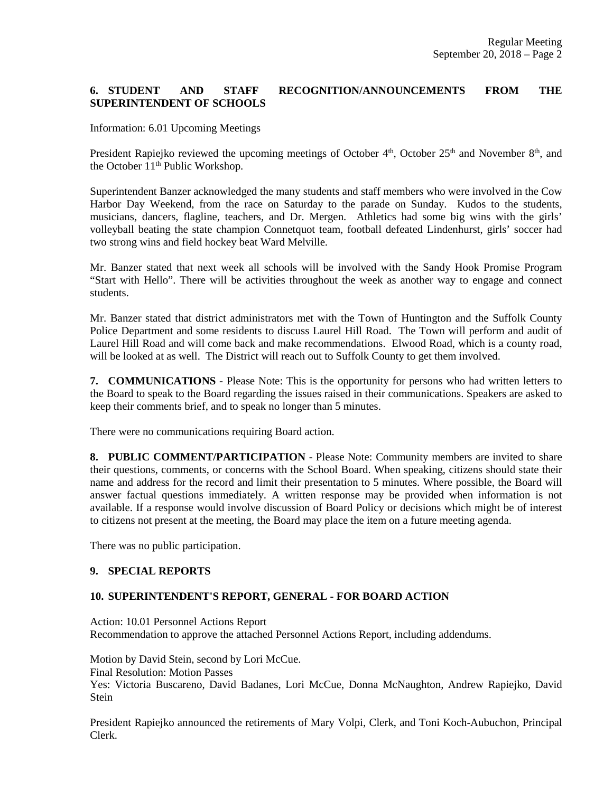# **6. STUDENT AND STAFF RECOGNITION/ANNOUNCEMENTS FROM THE SUPERINTENDENT OF SCHOOLS**

Information: 6.01 Upcoming Meetings

President Rapiejko reviewed the upcoming meetings of October 4<sup>th</sup>, October 25<sup>th</sup> and November 8<sup>th</sup>, and the October 11<sup>th</sup> Public Workshop.

Superintendent Banzer acknowledged the many students and staff members who were involved in the Cow Harbor Day Weekend, from the race on Saturday to the parade on Sunday. Kudos to the students, musicians, dancers, flagline, teachers, and Dr. Mergen. Athletics had some big wins with the girls' volleyball beating the state champion Connetquot team, football defeated Lindenhurst, girls' soccer had two strong wins and field hockey beat Ward Melville.

Mr. Banzer stated that next week all schools will be involved with the Sandy Hook Promise Program "Start with Hello". There will be activities throughout the week as another way to engage and connect students.

Mr. Banzer stated that district administrators met with the Town of Huntington and the Suffolk County Police Department and some residents to discuss Laurel Hill Road. The Town will perform and audit of Laurel Hill Road and will come back and make recommendations. Elwood Road, which is a county road, will be looked at as well. The District will reach out to Suffolk County to get them involved.

**7. COMMUNICATIONS** - Please Note: This is the opportunity for persons who had written letters to the Board to speak to the Board regarding the issues raised in their communications. Speakers are asked to keep their comments brief, and to speak no longer than 5 minutes.

There were no communications requiring Board action.

**8. PUBLIC COMMENT/PARTICIPATION** - Please Note: Community members are invited to share their questions, comments, or concerns with the School Board. When speaking, citizens should state their name and address for the record and limit their presentation to 5 minutes. Where possible, the Board will answer factual questions immediately. A written response may be provided when information is not available. If a response would involve discussion of Board Policy or decisions which might be of interest to citizens not present at the meeting, the Board may place the item on a future meeting agenda.

There was no public participation.

#### **9. SPECIAL REPORTS**

#### **10. SUPERINTENDENT'S REPORT, GENERAL - FOR BOARD ACTION**

Action: 10.01 Personnel Actions Report Recommendation to approve the attached Personnel Actions Report, including addendums.

Motion by David Stein, second by Lori McCue. Final Resolution: Motion Passes Yes: Victoria Buscareno, David Badanes, Lori McCue, Donna McNaughton, Andrew Rapiejko, David Stein

President Rapiejko announced the retirements of Mary Volpi, Clerk, and Toni Koch-Aubuchon, Principal Clerk.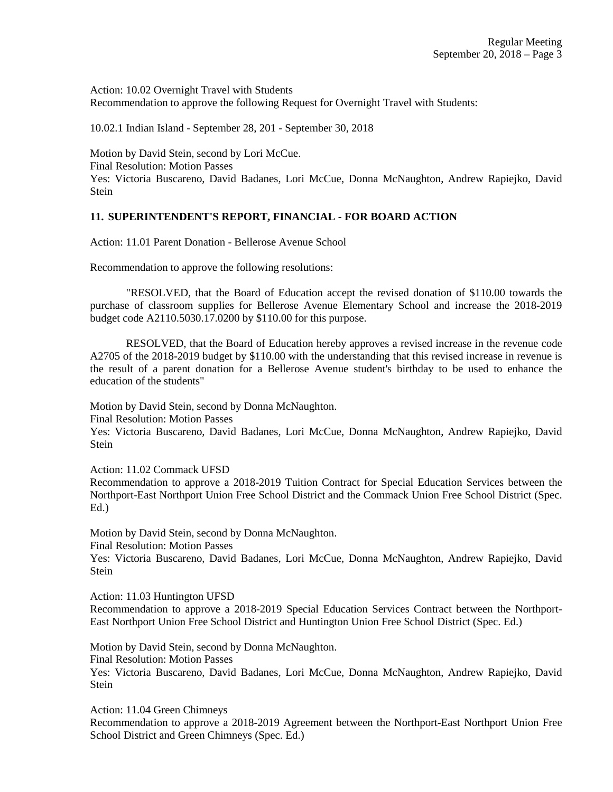Action: 10.02 Overnight Travel with Students Recommendation to approve the following Request for Overnight Travel with Students:

10.02.1 Indian Island - September 28, 201 - September 30, 2018

Motion by David Stein, second by Lori McCue. Final Resolution: Motion Passes Yes: Victoria Buscareno, David Badanes, Lori McCue, Donna McNaughton, Andrew Rapiejko, David Stein

## **11. SUPERINTENDENT'S REPORT, FINANCIAL - FOR BOARD ACTION**

Action: 11.01 Parent Donation - Bellerose Avenue School

Recommendation to approve the following resolutions:

"RESOLVED, that the Board of Education accept the revised donation of \$110.00 towards the purchase of classroom supplies for Bellerose Avenue Elementary School and increase the 2018-2019 budget code A2110.5030.17.0200 by \$110.00 for this purpose.

RESOLVED, that the Board of Education hereby approves a revised increase in the revenue code A2705 of the 2018-2019 budget by \$110.00 with the understanding that this revised increase in revenue is the result of a parent donation for a Bellerose Avenue student's birthday to be used to enhance the education of the students"

Motion by David Stein, second by Donna McNaughton.

Final Resolution: Motion Passes

Yes: Victoria Buscareno, David Badanes, Lori McCue, Donna McNaughton, Andrew Rapiejko, David **Stein** 

Action: 11.02 Commack UFSD

Recommendation to approve a 2018-2019 Tuition Contract for Special Education Services between the Northport-East Northport Union Free School District and the Commack Union Free School District (Spec. Ed.)

Motion by David Stein, second by Donna McNaughton.

Final Resolution: Motion Passes

Yes: Victoria Buscareno, David Badanes, Lori McCue, Donna McNaughton, Andrew Rapiejko, David **Stein** 

Action: 11.03 Huntington UFSD

Recommendation to approve a 2018-2019 Special Education Services Contract between the Northport-East Northport Union Free School District and Huntington Union Free School District (Spec. Ed.)

Motion by David Stein, second by Donna McNaughton. Final Resolution: Motion Passes Yes: Victoria Buscareno, David Badanes, Lori McCue, Donna McNaughton, Andrew Rapiejko, David Stein

Action: 11.04 Green Chimneys Recommendation to approve a 2018-2019 Agreement between the Northport-East Northport Union Free School District and Green Chimneys (Spec. Ed.)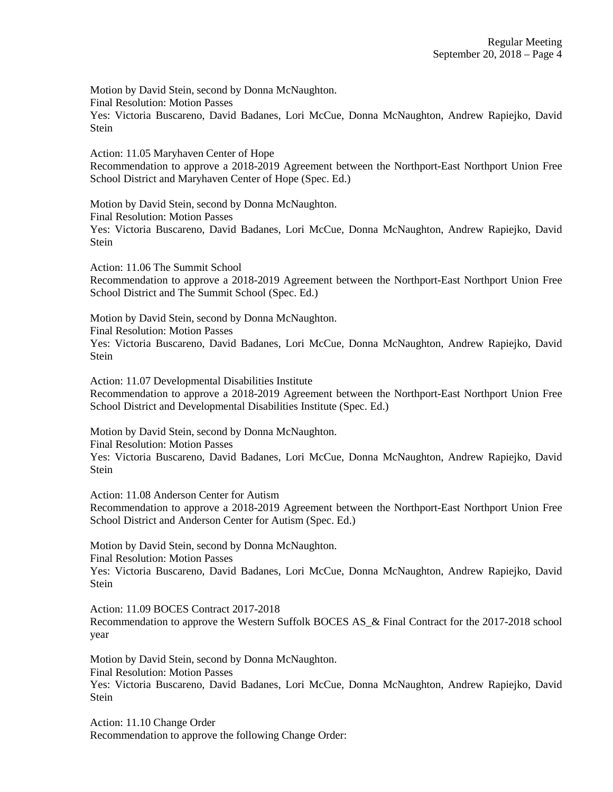Motion by David Stein, second by Donna McNaughton. Final Resolution: Motion Passes Yes: Victoria Buscareno, David Badanes, Lori McCue, Donna McNaughton, Andrew Rapiejko, David Stein

Action: 11.05 Maryhaven Center of Hope Recommendation to approve a 2018-2019 Agreement between the Northport-East Northport Union Free School District and Maryhaven Center of Hope (Spec. Ed.)

Motion by David Stein, second by Donna McNaughton. Final Resolution: Motion Passes Yes: Victoria Buscareno, David Badanes, Lori McCue, Donna McNaughton, Andrew Rapiejko, David Stein

Action: 11.06 The Summit School Recommendation to approve a 2018-2019 Agreement between the Northport-East Northport Union Free School District and The Summit School (Spec. Ed.)

Motion by David Stein, second by Donna McNaughton.

Final Resolution: Motion Passes

Yes: Victoria Buscareno, David Badanes, Lori McCue, Donna McNaughton, Andrew Rapiejko, David Stein

Action: 11.07 Developmental Disabilities Institute Recommendation to approve a 2018-2019 Agreement between the Northport-East Northport Union Free School District and Developmental Disabilities Institute (Spec. Ed.)

Motion by David Stein, second by Donna McNaughton.

Final Resolution: Motion Passes

Yes: Victoria Buscareno, David Badanes, Lori McCue, Donna McNaughton, Andrew Rapiejko, David Stein

Action: 11.08 Anderson Center for Autism

Recommendation to approve a 2018-2019 Agreement between the Northport-East Northport Union Free School District and Anderson Center for Autism (Spec. Ed.)

Motion by David Stein, second by Donna McNaughton. Final Resolution: Motion Passes Yes: Victoria Buscareno, David Badanes, Lori McCue, Donna McNaughton, Andrew Rapiejko, David Stein

Action: 11.09 BOCES Contract 2017-2018 Recommendation to approve the Western Suffolk BOCES AS\_& Final Contract for the 2017-2018 school year

Motion by David Stein, second by Donna McNaughton. Final Resolution: Motion Passes Yes: Victoria Buscareno, David Badanes, Lori McCue, Donna McNaughton, Andrew Rapiejko, David **Stein** 

Action: 11.10 Change Order Recommendation to approve the following Change Order: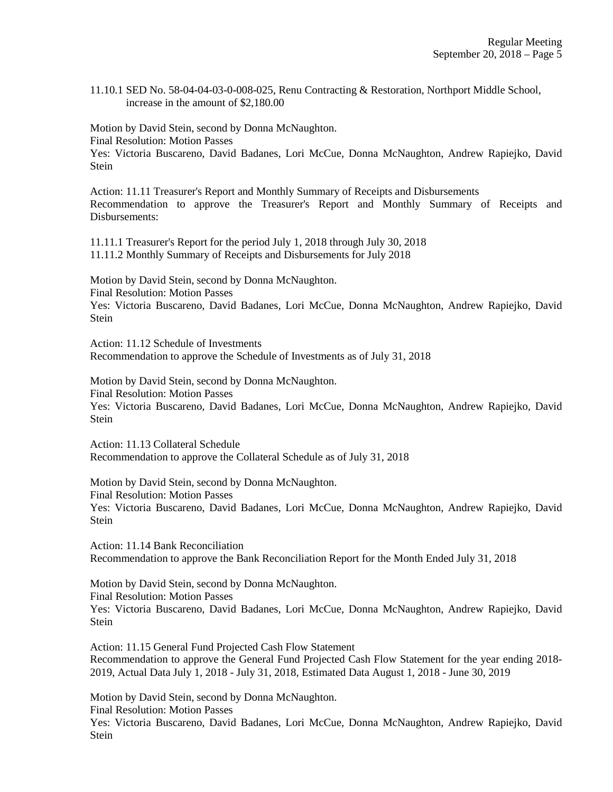11.10.1 SED No. 58-04-04-03-0-008-025, Renu Contracting & Restoration, Northport Middle School, increase in the amount of \$2,180.00

Motion by David Stein, second by Donna McNaughton. Final Resolution: Motion Passes

Yes: Victoria Buscareno, David Badanes, Lori McCue, Donna McNaughton, Andrew Rapiejko, David Stein

Action: 11.11 Treasurer's Report and Monthly Summary of Receipts and Disbursements Recommendation to approve the Treasurer's Report and Monthly Summary of Receipts and Disbursements:

11.11.1 Treasurer's Report for the period July 1, 2018 through July 30, 2018 11.11.2 Monthly Summary of Receipts and Disbursements for July 2018

Motion by David Stein, second by Donna McNaughton. Final Resolution: Motion Passes Yes: Victoria Buscareno, David Badanes, Lori McCue, Donna McNaughton, Andrew Rapiejko, David **Stein** 

Action: 11.12 Schedule of Investments Recommendation to approve the Schedule of Investments as of July 31, 2018

Motion by David Stein, second by Donna McNaughton. Final Resolution: Motion Passes Yes: Victoria Buscareno, David Badanes, Lori McCue, Donna McNaughton, Andrew Rapiejko, David Stein

Action: 11.13 Collateral Schedule Recommendation to approve the Collateral Schedule as of July 31, 2018

Motion by David Stein, second by Donna McNaughton. Final Resolution: Motion Passes Yes: Victoria Buscareno, David Badanes, Lori McCue, Donna McNaughton, Andrew Rapiejko, David Stein

Action: 11.14 Bank Reconciliation Recommendation to approve the Bank Reconciliation Report for the Month Ended July 31, 2018

Motion by David Stein, second by Donna McNaughton. Final Resolution: Motion Passes Yes: Victoria Buscareno, David Badanes, Lori McCue, Donna McNaughton, Andrew Rapiejko, David Stein

Action: 11.15 General Fund Projected Cash Flow Statement Recommendation to approve the General Fund Projected Cash Flow Statement for the year ending 2018- 2019, Actual Data July 1, 2018 - July 31, 2018, Estimated Data August 1, 2018 - June 30, 2019

Motion by David Stein, second by Donna McNaughton.

Final Resolution: Motion Passes

Yes: Victoria Buscareno, David Badanes, Lori McCue, Donna McNaughton, Andrew Rapiejko, David **Stein**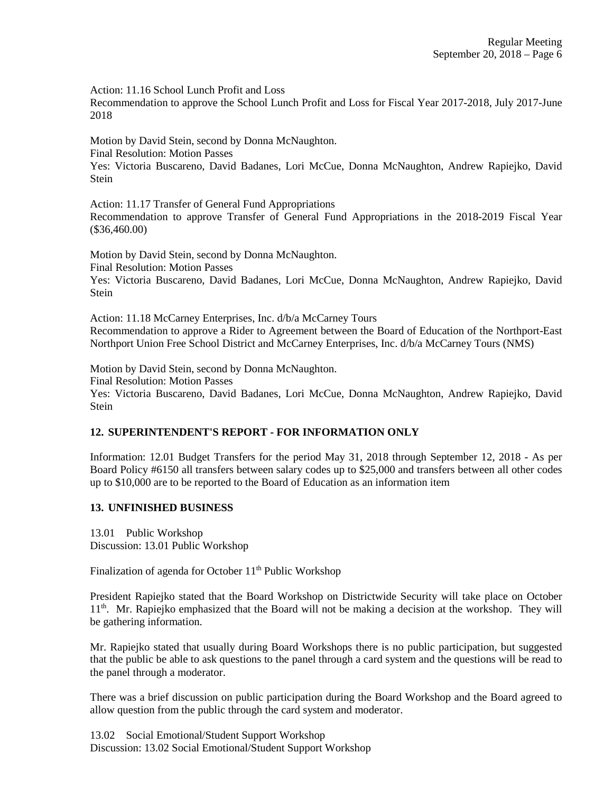Action: 11.16 School Lunch Profit and Loss

Recommendation to approve the School Lunch Profit and Loss for Fiscal Year 2017-2018, July 2017-June 2018

Motion by David Stein, second by Donna McNaughton.

Final Resolution: Motion Passes

Yes: Victoria Buscareno, David Badanes, Lori McCue, Donna McNaughton, Andrew Rapiejko, David Stein

Action: 11.17 Transfer of General Fund Appropriations Recommendation to approve Transfer of General Fund Appropriations in the 2018-2019 Fiscal Year (\$36,460.00)

Motion by David Stein, second by Donna McNaughton. Final Resolution: Motion Passes Yes: Victoria Buscareno, David Badanes, Lori McCue, Donna McNaughton, Andrew Rapiejko, David Stein

Action: 11.18 McCarney Enterprises, Inc. d/b/a McCarney Tours Recommendation to approve a Rider to Agreement between the Board of Education of the Northport-East Northport Union Free School District and McCarney Enterprises, Inc. d/b/a McCarney Tours (NMS)

Motion by David Stein, second by Donna McNaughton. Final Resolution: Motion Passes Yes: Victoria Buscareno, David Badanes, Lori McCue, Donna McNaughton, Andrew Rapiejko, David Stein

# **12. SUPERINTENDENT'S REPORT - FOR INFORMATION ONLY**

Information: 12.01 Budget Transfers for the period May 31, 2018 through September 12, 2018 - As per Board Policy #6150 all transfers between salary codes up to \$25,000 and transfers between all other codes up to \$10,000 are to be reported to the Board of Education as an information item

# **13. UNFINISHED BUSINESS**

13.01 Public Workshop Discussion: 13.01 Public Workshop

Finalization of agenda for October  $11<sup>th</sup>$  Public Workshop

President Rapiejko stated that the Board Workshop on Districtwide Security will take place on October 11th. Mr. Rapiejko emphasized that the Board will not be making a decision at the workshop. They will be gathering information.

Mr. Rapiejko stated that usually during Board Workshops there is no public participation, but suggested that the public be able to ask questions to the panel through a card system and the questions will be read to the panel through a moderator.

There was a brief discussion on public participation during the Board Workshop and the Board agreed to allow question from the public through the card system and moderator.

13.02 Social Emotional/Student Support Workshop Discussion: 13.02 Social Emotional/Student Support Workshop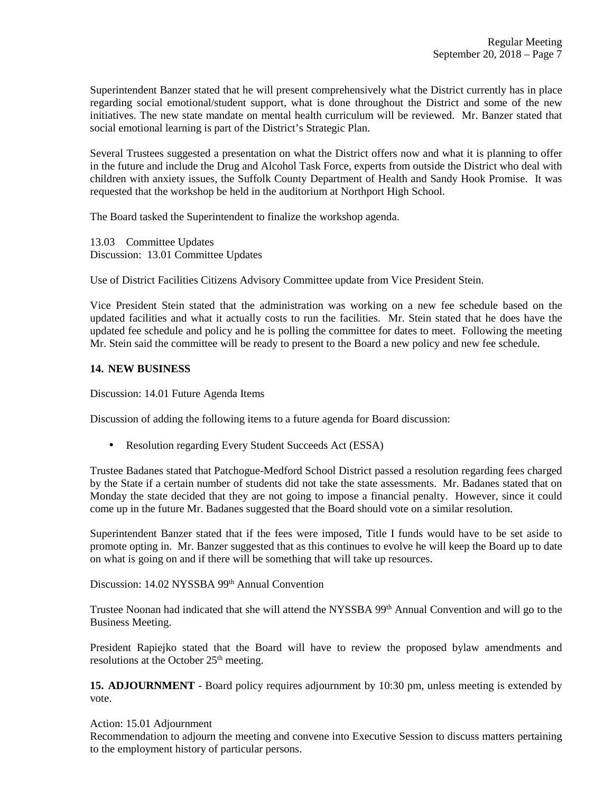Superintendent Banzer stated that he will present comprehensively what the District currently has in place regarding social emotional/student support, what is done throughout the District and some of the new initiatives. The new state mandate on mental health curriculum will be reviewed. Mr. Banzer stated that social emotional learning is part of the District's Strategic Plan.

Several Trustees suggested a presentation on what the District offers now and what it is planning to offer in the future and include the Drug and Alcohol Task Force, experts from outside the District who deal with children with anxiety issues, the Suffolk County Department of Health and Sandy Hook Promise. It was requested that the workshop be held in the auditorium at Northport High School.

The Board tasked the Superintendent to finalize the workshop agenda.

13.03 Committee Updates Discussion: 13.01 Committee Updates

Use of District Facilities Citizens Advisory Committee update from Vice President Stein.

Vice President Stein stated that the administration was working on a new fee schedule based on the updated facilities and what it actually costs to run the facilities. Mr. Stein stated that he does have the updated fee schedule and policy and he is polling the committee for dates to meet. Following the meeting Mr. Stein said the committee will be ready to present to the Board a new policy and new fee schedule.

## **14. NEW BUSINESS**

Discussion: 14.01 Future Agenda Items

Discussion of adding the following items to a future agenda for Board discussion:

• Resolution regarding Every Student Succeeds Act (ESSA)

Trustee Badanes stated that Patchogue-Medford School District passed a resolution regarding fees charged by the State if a certain number of students did not take the state assessments. Mr. Badanes stated that on Monday the state decided that they are not going to impose a financial penalty. However, since it could come up in the future Mr. Badanes suggested that the Board should vote on a similar resolution.

Superintendent Banzer stated that if the fees were imposed, Title I funds would have to be set aside to promote opting in. Mr. Banzer suggested that as this continues to evolve he will keep the Board up to date on what is going on and if there will be something that will take up resources.

Discussion: 14.02 NYSSBA 99<sup>th</sup> Annual Convention

Trustee Noonan had indicated that she will attend the NYSSBA 99<sup>th</sup> Annual Convention and will go to the Business Meeting.

President Rapiejko stated that the Board will have to review the proposed bylaw amendments and resolutions at the October  $25<sup>th</sup>$  meeting.

**15. ADJOURNMENT** - Board policy requires adjournment by 10:30 pm, unless meeting is extended by vote.

#### Action: 15.01 Adjournment

Recommendation to adjourn the meeting and convene into Executive Session to discuss matters pertaining to the employment history of particular persons.